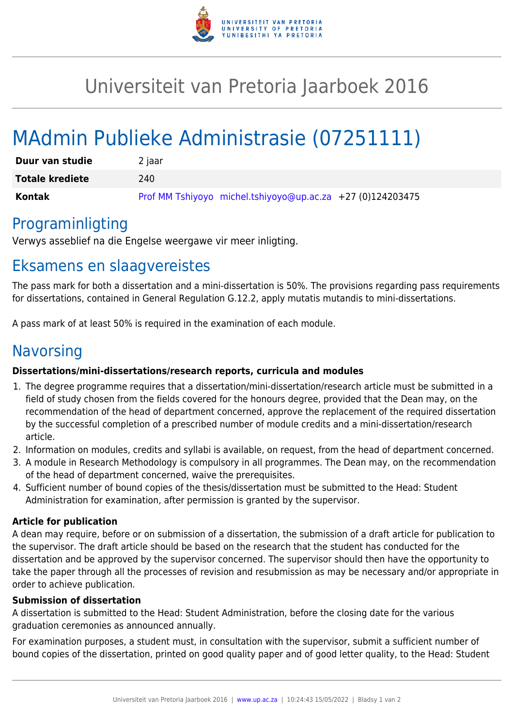

## Universiteit van Pretoria Jaarboek 2016

# MAdmin Publieke Administrasie (07251111)

| Duur van studie        | 2 jaar                                                       |
|------------------------|--------------------------------------------------------------|
| <b>Totale krediete</b> | 240                                                          |
| Kontak                 | Prof MM Tshiyoyo michel.tshiyoyo@up.ac.za $+27$ (0)124203475 |

### Programinligting

Verwys asseblief na die Engelse weergawe vir meer inligting.

### Eksamens en slaagvereistes

The pass mark for both a dissertation and a mini-dissertation is 50%. The provisions regarding pass requirements for dissertations, contained in General Regulation G.12.2, apply mutatis mutandis to mini-dissertations.

A pass mark of at least 50% is required in the examination of each module.

### Navorsing

#### **Dissertations/mini-dissertations/research reports, curricula and modules**

- 1. The degree programme requires that a dissertation/mini-dissertation/research article must be submitted in a field of study chosen from the fields covered for the honours degree, provided that the Dean may, on the recommendation of the head of department concerned, approve the replacement of the required dissertation by the successful completion of a prescribed number of module credits and a mini-dissertation/research article.
- 2. Information on modules, credits and syllabi is available, on request, from the head of department concerned.
- 3. A module in Research Methodology is compulsory in all programmes. The Dean may, on the recommendation of the head of department concerned, waive the prerequisites.
- 4. Sufficient number of bound copies of the thesis/dissertation must be submitted to the Head: Student Administration for examination, after permission is granted by the supervisor.

#### **Article for publication**

A dean may require, before or on submission of a dissertation, the submission of a draft article for publication to the supervisor. The draft article should be based on the research that the student has conducted for the dissertation and be approved by the supervisor concerned. The supervisor should then have the opportunity to take the paper through all the processes of revision and resubmission as may be necessary and/or appropriate in order to achieve publication.

#### **Submission of dissertation**

A dissertation is submitted to the Head: Student Administration, before the closing date for the various graduation ceremonies as announced annually.

For examination purposes, a student must, in consultation with the supervisor, submit a sufficient number of bound copies of the dissertation, printed on good quality paper and of good letter quality, to the Head: Student